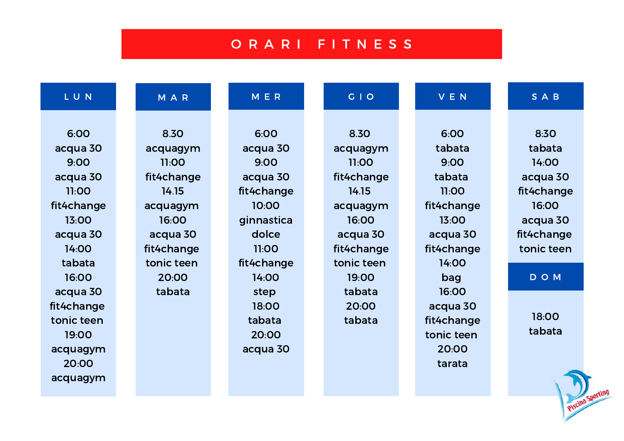# O R A R I F I T N E S S

| LUN        | M A R      | <b>MER</b> | G   O      | <b>VEN</b> | SAB        |
|------------|------------|------------|------------|------------|------------|
|            |            |            |            |            |            |
| 6:00       | 8.30       | 6:00       | 8.30       | 6:00       | 8:30       |
| acqua 30   | acquagym   | acqua 30   | acquagym   | tabata     | tabata     |
| 9:00       | 11:00      | 9:00       | 11:00      | 9:00       | 14:00      |
| acqua 30   | fit4change | acqua 30   | fit4change | tabata     | acqua 30   |
| 11:00      | 14.15      | fit4change | 14.15      | 11:00      | fit4change |
| fit4change | acquagym   | 10:00      | acquagym   | fit4change | 16:00      |
| 13:00      | 16:00      | ginnastica | 16:00      | 13:00      | acqua 30   |
| acqua 30   | acqua 30   | dolce      | acqua 30   | acqua 30   | fit4change |
| 14:00      | fit4change | 11:00      | fit4change | fit4change | tonic teen |
| tabata     | tonic teen | fit4change | tonic teen | 14:00      |            |
| 16:00      | 20:00      | 14:00      | 19:00      | bag        | DOM        |
| acqua 30   | tabata     | step       | tabata     | 16:00      |            |
| fit4change |            | 18:00      | 20:00      | acqua 30   |            |
| tonic teen |            | tabata     | tabata     | fit4change | 18:00      |
| 19:00      |            | 20:00      |            | tonic teen | tabata     |
| acquagym   |            | acqua 30   |            | 20:00      |            |
| 20:00      |            |            |            | tarata     |            |

acquagym